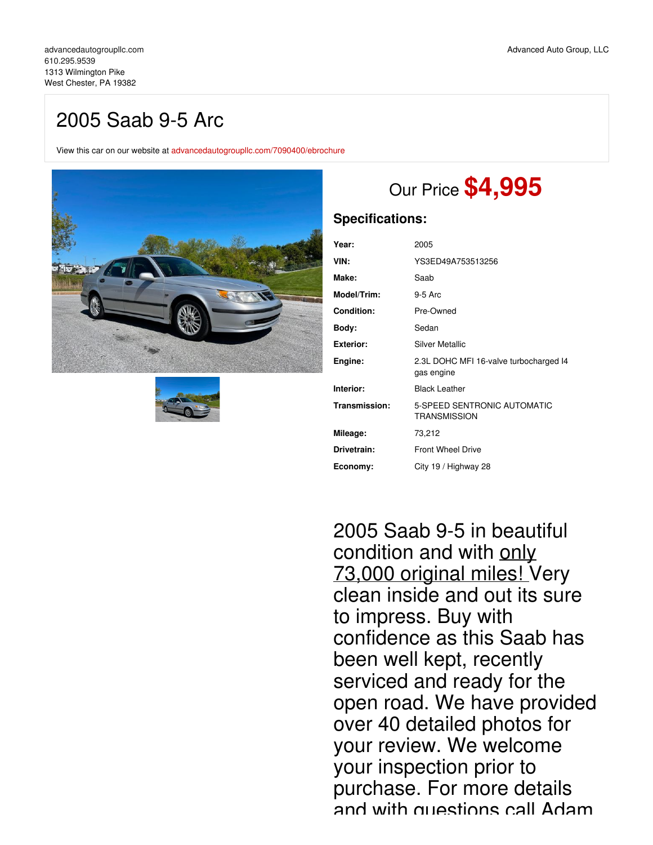## 2005 Saab 9-5 Arc

View this car on our website at [advancedautogroupllc.com/7090400/ebrochure](https://advancedautogroupllc.com/vehicle/7090400/2005-saab-9-5-arc-west-chester-pa-19382/7090400/ebrochure)





# Our Price **\$4,995**

## **Specifications:**

| Year:             | 2005                                                 |
|-------------------|------------------------------------------------------|
| VIN:              | YS3ED49A753513256                                    |
| Make:             | Saab                                                 |
| Model/Trim:       | $9-5$ Arc                                            |
| <b>Condition:</b> | Pre-Owned                                            |
| Body:             | Sedan                                                |
| Exterior:         | Silver Metallic                                      |
| Engine:           | 2.3L DOHC MFI 16-valve turbocharged I4<br>gas engine |
| Interior:         | <b>Black Leather</b>                                 |
| Transmission:     | 5-SPEED SENTRONIC AUTOMATIC<br><b>TRANSMISSION</b>   |
| Mileage:          | 73,212                                               |
| Drivetrain:       | <b>Front Wheel Drive</b>                             |
| Economy:          | City 19 / Highway 28                                 |

2005 Saab 9-5 in beautiful condition and with only 73,000 original miles! Very clean inside and out its sure to impress. Buy with confidence as this Saab has been well kept, recently serviced and ready for the open road. We have provided over 40 detailed photos for your review. We welcome your inspection prior to purchase. For more details and with questions call Adam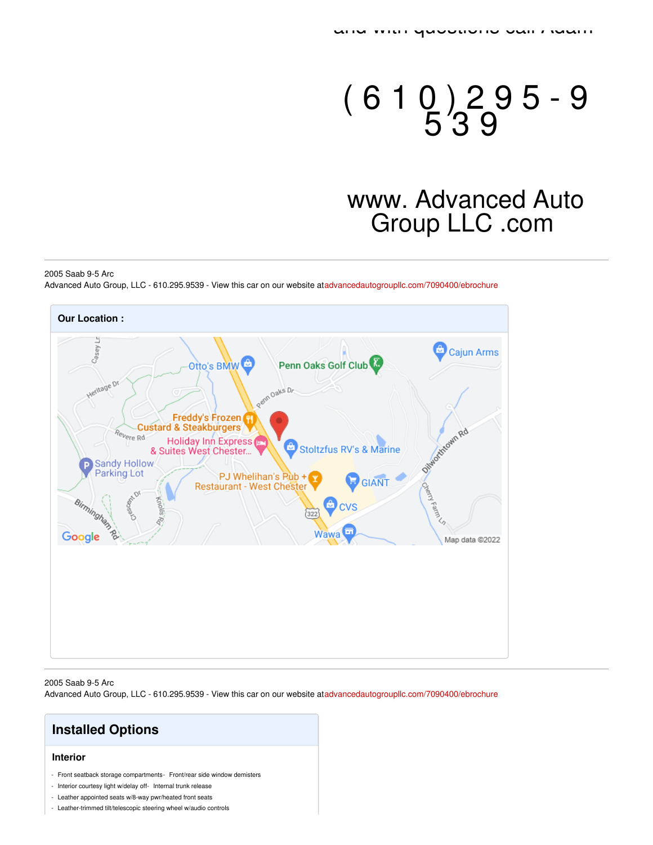# $(610)$  2 9 5 - 9 5 3 9

# www. Advanced Auto Group LLC .com

#### 2005 Saab 9-5 Arc

Advanced Auto Group, LLC - 610.295.9539 - View this car on our website a[tadvancedautogroupllc.com/7090400/ebrochure](https://advancedautogroupllc.com/vehicle/7090400/2005-saab-9-5-arc-west-chester-pa-19382/7090400/ebrochure)



#### 2005 Saab 9-5 Arc

Advanced Auto Group, LLC - 610.295.9539 - View this car on our website a[tadvancedautogroupllc.com/7090400/ebrochure](https://advancedautogroupllc.com/vehicle/7090400/2005-saab-9-5-arc-west-chester-pa-19382/7090400/ebrochure)

## **Installed Options**

#### **Interior**

- Front seatback storage compartments- Front/rear side window demisters
- Interior courtesy light w/delay off- Internal trunk release
- Leather appointed seats w/8-way pwr/heated front seats
- Leather-trimmed tilt/telescopic steering wheel w/audio controls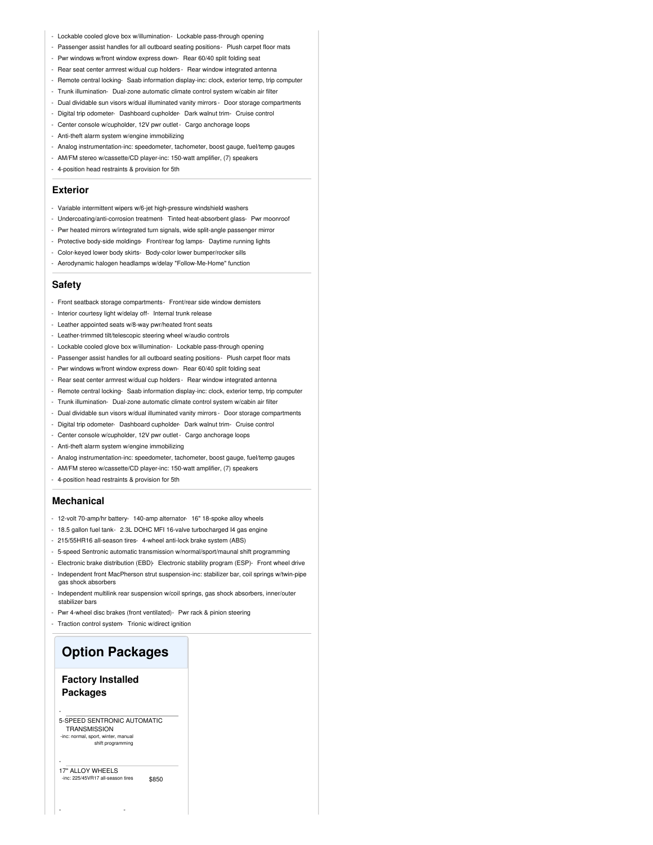- Lockable cooled glove box w/illumination- Lockable pass-through opening
- Passenger assist handles for all outboard seating positions Plush carpet floor mats
- Pwr windows w/front window express down- Rear 60/40 split folding seat
- Rear seat center armrest w/dual cup holders Rear window integrated antenna
- Remote central locking- Saab information display-inc: clock, exterior temp, trip computer
- Trunk illumination- Dual-zone automatic climate control system w/cabin air filter
- Dual dividable sun visors w/dual illuminated vanity mirrors Door storage compartments
- Digital trip odometer- Dashboard cupholder- Dark walnut trim- Cruise control
- Center console w/cupholder, 12V pwr outlet- Cargo anchorage loops
- Anti-theft alarm system w/engine immobilizing
- Analog instrumentation-inc: speedometer, tachometer, boost gauge, fuel/temp gauges
- AM/FM stereo w/cassette/CD player-inc: 150-watt amplifier, (7) speakers
- 4-position head restraints & provision for 5th

#### **Exterior**

- Variable intermittent wipers w/6-jet high-pressure windshield washers
- Undercoating/anti-corrosion treatment- Tinted heat-absorbent glass- Pwr moonroof
- Pwr heated mirrors w/integrated turn signals, wide split-angle passenger mirror
- Protective body-side moldings- Front/rear fog lamps- Daytime running lights
- Color-keyed lower body skirts- Body-color lower bumper/rocker sills
- Aerodynamic halogen headlamps w/delay "Follow-Me-Home" function

#### **Safety**

- Front seatback storage compartments- Front/rear side window demisters
- Interior courtesy light w/delay off- Internal trunk release
- Leather appointed seats w/8-way pwr/heated front seats
- Leather-trimmed tilt/telescopic steering wheel w/audio controls
- Lockable cooled glove box w/illumination- Lockable pass-through opening
- Passenger assist handles for all outboard seating positions- Plush carpet floor mats
- Pwr windows w/front window express down- Rear 60/40 split folding seat
- Rear seat center armrest w/dual cup holders Rear window integrated antenna
- Remote central locking- Saab information display-inc: clock, exterior temp, trip computer
- Trunk illumination- Dual-zone automatic climate control system w/cabin air filter
- Dual dividable sun visors w/dual illuminated vanity mirrors Door storage compartments
- Digital trip odometer- Dashboard cupholder- Dark walnut trim- Cruise control
- Center console w/cupholder, 12V pwr outlet Cargo anchorage loops
- Anti-theft alarm system w/engine immobilizing
- Analog instrumentation-inc: speedometer, tachometer, boost gauge, fuel/temp gauges
- AM/FM stereo w/cassette/CD player-inc: 150-watt amplifier, (7) speakers
- 4-position head restraints & provision for 5th

#### **Mechanical**

- 12-volt 70-amp/hr battery- 140-amp alternator- 16" 18-spoke alloy wheels
- 18.5 gallon fuel tank- 2.3L DOHC MFI 16-valve turbocharged I4 gas engine
- 215/55HR16 all-season tires- 4-wheel anti-lock brake system (ABS)
- 5-speed Sentronic automatic transmission w/normal/sport/maunal shift programming
- Electronic brake distribution (EBD)- Electronic stability program (ESP)- Front wheel drive - Independent front MacPherson strut suspension-inc: stabilizer bar, coil springs w/twin-pipe
- Independent multilink rear suspension w/coil springs, gas shock absorbers, inner/outer
- 
- 

### **Option Packages**

#### **Factory Installed Packages**

-

-

#### 5-SPEED SENTRONIC AUTOMATIC **TRANSMISSION** -inc: normal, sport, winter, manual shift programming

- -

\$850 17" ALLOY WHEELS -inc: 225/45VR17 all-season tires

- 
- gas shock absorbers
- stabilizer bars
- Pwr 4-wheel disc brakes (front ventilated)- Pwr rack & pinion steering
- Traction control system- Trionic w/direct ignition
-